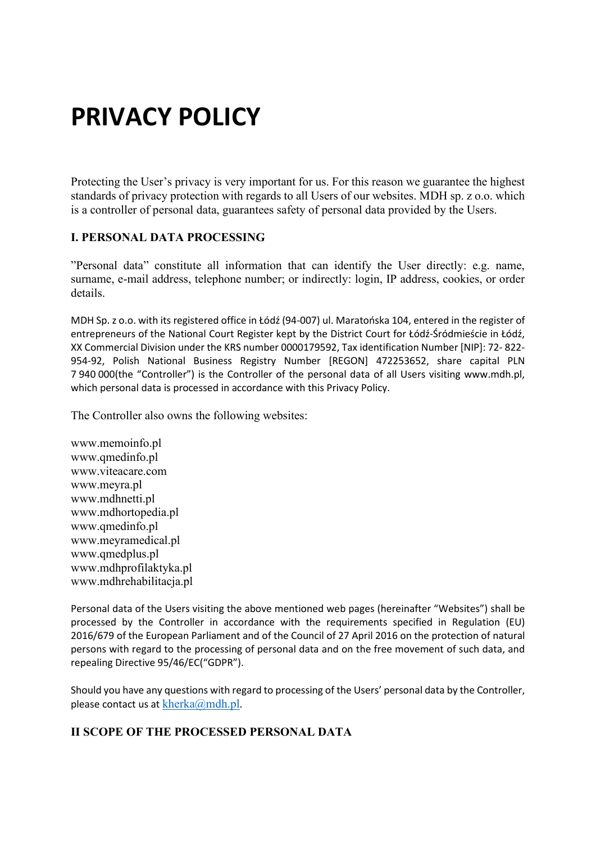# **PRIVACY POLICY**

Protecting the User's privacy is very important for us. For this reason we guarantee the highest standards of privacy protection with regards to all Users of our websites. MDH sp. z o.o. which is a controller of personal data, guarantees safety of personal data provided by the Users.

# **I. PERSONAL DATA PROCESSING**

"Personal data" constitute all information that can identify the User directly: e.g. name, surname, e-mail address, telephone number; or indirectly: login, IP address, cookies, or order details.

MDH Sp. z o.o. with its registered office in Łódź (94-007) ul. Maratońska 104, entered in the register of entrepreneurs of the National Court Register kept by the District Court for Łódź-Śródmieście in Łódź, XX Commercial Division under the KRS number 0000179592, Tax identification Number [NIP]: 72- 822- 954-92, Polish National Business Registry Number [REGON] 472253652, share capital PLN 7 940 000(the "Controller") is the Controller of the personal data of all Users visiting www.mdh.pl, which personal data is processed in accordance with this Privacy Policy.

The Controller also owns the following websites:

www.memoinfo.pl www.qmedinfo.pl www.viteacare.com www.meyra.pl www.mdhnetti.pl www.mdhortopedia.pl www.qmedinfo.pl www.meyramedical.pl www.qmedplus.pl www.mdhprofilaktyka.pl www.mdhrehabilitacja.pl

Personal data of the Users visiting the above mentioned web pages (hereinafter "Websites") shall be processed by the Controller in accordance with the requirements specified in Regulation (EU) 2016/679 of the European Parliament and of the Council of 27 April 2016 on the protection of natural persons with regard to the processing of personal data and on the free movement of such data, and repealing Directive 95/46/EC("GDPR").

Should you have any questions with regard to processing of the Users' personal data by the Controller, please contact us at  $kherka@mdh.pl.$  $kherka@mdh.pl.$ 

## **II SCOPE OF THE PROCESSED PERSONAL DATA**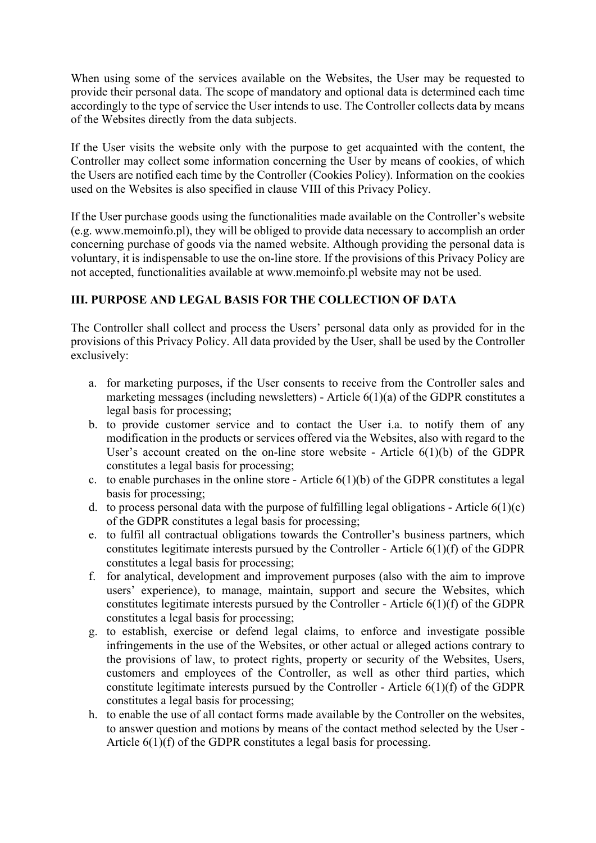When using some of the services available on the Websites, the User may be requested to provide their personal data. The scope of mandatory and optional data is determined each time accordingly to the type of service the User intends to use. The Controller collects data by means of the Websites directly from the data subjects.

If the User visits the website only with the purpose to get acquainted with the content, the Controller may collect some information concerning the User by means of cookies, of which the Users are notified each time by the Controller (Cookies Policy). Information on the cookies used on the Websites is also specified in clause VIII of this Privacy Policy.

If the User purchase goods using the functionalities made available on the Controller's website (e.g. www.memoinfo.pl), they will be obliged to provide data necessary to accomplish an order concerning purchase of goods via the named website. Although providing the personal data is voluntary, it is indispensable to use the on-line store. If the provisions of this Privacy Policy are not accepted, functionalities available at www.memoinfo.pl website may not be used.

# **III. PURPOSE AND LEGAL BASIS FOR THE COLLECTION OF DATA**

The Controller shall collect and process the Users' personal data only as provided for in the provisions of this Privacy Policy. All data provided by the User, shall be used by the Controller exclusively:

- a. for marketing purposes, if the User consents to receive from the Controller sales and marketing messages (including newsletters) - Article 6(1)(a) of the GDPR constitutes a legal basis for processing;
- b. to provide customer service and to contact the User i.a. to notify them of any modification in the products or services offered via the Websites, also with regard to the User's account created on the on-line store website - Article  $6(1)(b)$  of the GDPR constitutes a legal basis for processing;
- c. to enable purchases in the online store Article  $6(1)(b)$  of the GDPR constitutes a legal basis for processing;
- d. to process personal data with the purpose of fulfilling legal obligations Article  $6(1)(c)$ of the GDPR constitutes a legal basis for processing;
- e. to fulfil all contractual obligations towards the Controller's business partners, which constitutes legitimate interests pursued by the Controller - Article 6(1)(f) of the GDPR constitutes a legal basis for processing;
- f. for analytical, development and improvement purposes (also with the aim to improve users' experience), to manage, maintain, support and secure the Websites, which constitutes legitimate interests pursued by the Controller - Article 6(1)(f) of the GDPR constitutes a legal basis for processing;
- g. to establish, exercise or defend legal claims, to enforce and investigate possible infringements in the use of the Websites, or other actual or alleged actions contrary to the provisions of law, to protect rights, property or security of the Websites, Users, customers and employees of the Controller, as well as other third parties, which constitute legitimate interests pursued by the Controller - Article  $6(1)(f)$  of the GDPR constitutes a legal basis for processing;
- h. to enable the use of all contact forms made available by the Controller on the websites, to answer question and motions by means of the contact method selected by the User - Article 6(1)(f) of the GDPR constitutes a legal basis for processing.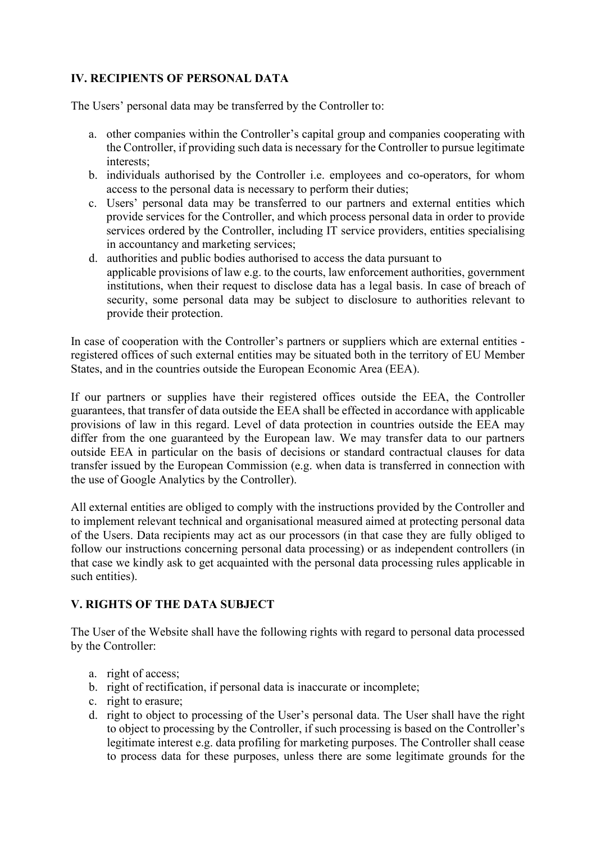# **IV. RECIPIENTS OF PERSONAL DATA**

The Users' personal data may be transferred by the Controller to:

- a. other companies within the Controller's capital group and companies cooperating with the Controller, if providing such data is necessary for the Controller to pursue legitimate interests;
- b. individuals authorised by the Controller i.e. employees and co-operators, for whom access to the personal data is necessary to perform their duties;
- c. Users' personal data may be transferred to our partners and external entities which provide services for the Controller, and which process personal data in order to provide services ordered by the Controller, including IT service providers, entities specialising in accountancy and marketing services;
- d. authorities and public bodies authorised to access the data pursuant to applicable provisions of law e.g. to the courts, law enforcement authorities, government institutions, when their request to disclose data has a legal basis. In case of breach of security, some personal data may be subject to disclosure to authorities relevant to provide their protection.

In case of cooperation with the Controller's partners or suppliers which are external entities registered offices of such external entities may be situated both in the territory of EU Member States, and in the countries outside the European Economic Area (EEA).

If our partners or supplies have their registered offices outside the EEA, the Controller guarantees, that transfer of data outside the EEA shall be effected in accordance with applicable provisions of law in this regard. Level of data protection in countries outside the EEA may differ from the one guaranteed by the European law. We may transfer data to our partners outside EEA in particular on the basis of decisions or standard contractual clauses for data transfer issued by the European Commission (e.g. when data is transferred in connection with the use of Google Analytics by the Controller).

All external entities are obliged to comply with the instructions provided by the Controller and to implement relevant technical and organisational measured aimed at protecting personal data of the Users. Data recipients may act as our processors (in that case they are fully obliged to follow our instructions concerning personal data processing) or as independent controllers (in that case we kindly ask to get acquainted with the personal data processing rules applicable in such entities).

## **V. RIGHTS OF THE DATA SUBJECT**

The User of the Website shall have the following rights with regard to personal data processed by the Controller:

- a. right of access;
- b. right of rectification, if personal data is inaccurate or incomplete;
- c. right to erasure;
- d. right to object to processing of the User's personal data. The User shall have the right to object to processing by the Controller, if such processing is based on the Controller's legitimate interest e.g. data profiling for marketing purposes. The Controller shall cease to process data for these purposes, unless there are some legitimate grounds for the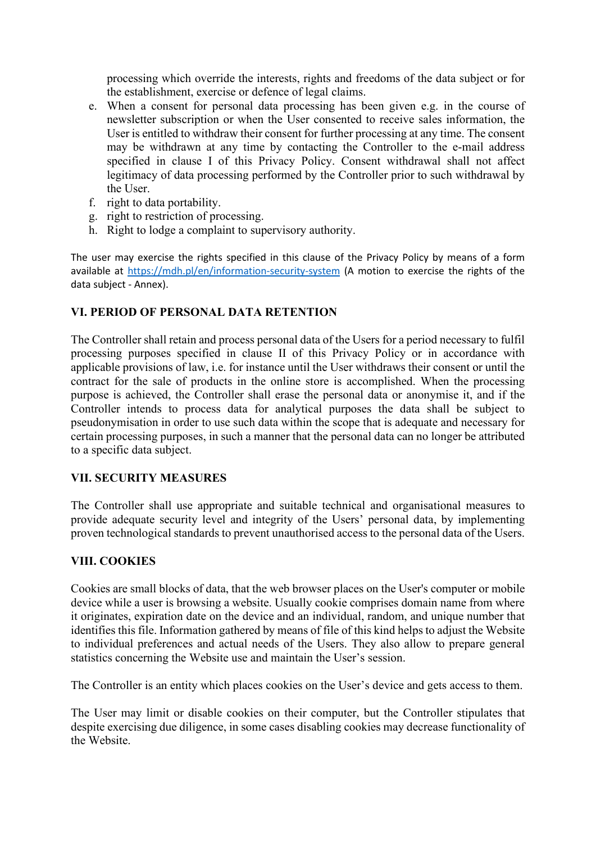processing which override the interests, rights and freedoms of the data subject or for the establishment, exercise or defence of legal claims.

- e. When a consent for personal data processing has been given e.g. in the course of newsletter subscription or when the User consented to receive sales information, the User is entitled to withdraw their consent for further processing at any time. The consent may be withdrawn at any time by contacting the Controller to the e-mail address specified in clause I of this Privacy Policy. Consent withdrawal shall not affect legitimacy of data processing performed by the Controller prior to such withdrawal by the User.
- f. right to data portability.
- g. right to restriction of processing.
- h. Right to lodge a complaint to supervisory authority.

The user may exercise the rights specified in this clause of the Privacy Policy by means of a form available at [https://mdh.pl/en/information](https://mdh.pl/en/information-security-system)-security-system (A motion to exercise the rights of the data subject - Annex).

## **VI. PERIOD OF PERSONAL DATA RETENTION**

The Controller shall retain and process personal data of the Users for a period necessary to fulfil processing purposes specified in clause II of this Privacy Policy or in accordance with applicable provisions of law, i.e. for instance until the User withdraws their consent or until the contract for the sale of products in the online store is accomplished. When the processing purpose is achieved, the Controller shall erase the personal data or anonymise it, and if the Controller intends to process data for analytical purposes the data shall be subject to pseudonymisation in order to use such data within the scope that is adequate and necessary for certain processing purposes, in such a manner that the personal data can no longer be attributed to a specific data subject.

#### **VII. SECURITY MEASURES**

The Controller shall use appropriate and suitable technical and organisational measures to provide adequate security level and integrity of the Users' personal data, by implementing proven technological standards to prevent unauthorised access to the personal data of the Users.

#### **VIII. COOKIES**

Cookies are small blocks of data, that the web browser places on the User's computer or mobile device while a user is browsing a website. Usually cookie comprises domain name from where it originates, expiration date on the device and an individual, random, and unique number that identifies this file. Information gathered by means of file of this kind helps to adjust the Website to individual preferences and actual needs of the Users. They also allow to prepare general statistics concerning the Website use and maintain the User's session.

The Controller is an entity which places cookies on the User's device and gets access to them.

The User may limit or disable cookies on their computer, but the Controller stipulates that despite exercising due diligence, in some cases disabling cookies may decrease functionality of the Website.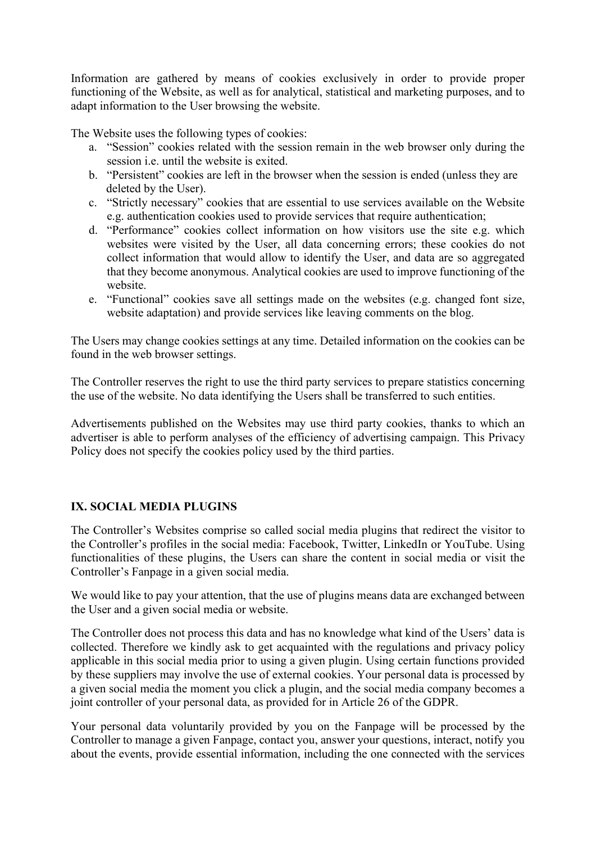Information are gathered by means of cookies exclusively in order to provide proper functioning of the Website, as well as for analytical, statistical and marketing purposes, and to adapt information to the User browsing the website.

The Website uses the following types of cookies:

- a. "Session" cookies related with the session remain in the web browser only during the session i.e. until the website is exited.
- b. "Persistent" cookies are left in the browser when the session is ended (unless they are deleted by the User).
- c. "Strictly necessary" cookies that are essential to use services available on the Website e.g. authentication cookies used to provide services that require authentication;
- d. "Performance" cookies collect information on how visitors use the site e.g. which websites were visited by the User, all data concerning errors; these cookies do not collect information that would allow to identify the User, and data are so aggregated that they become anonymous. Analytical cookies are used to improve functioning of the website.
- e. "Functional" cookies save all settings made on the websites (e.g. changed font size, website adaptation) and provide services like leaving comments on the blog.

The Users may change cookies settings at any time. Detailed information on the cookies can be found in the web browser settings.

The Controller reserves the right to use the third party services to prepare statistics concerning the use of the website. No data identifying the Users shall be transferred to such entities.

Advertisements published on the Websites may use third party cookies, thanks to which an advertiser is able to perform analyses of the efficiency of advertising campaign. This Privacy Policy does not specify the cookies policy used by the third parties.

## **IX. SOCIAL MEDIA PLUGINS**

The Controller's Websites comprise so called social media plugins that redirect the visitor to the Controller's profiles in the social media: Facebook, Twitter, LinkedIn or YouTube. Using functionalities of these plugins, the Users can share the content in social media or visit the Controller's Fanpage in a given social media.

We would like to pay your attention, that the use of plugins means data are exchanged between the User and a given social media or website.

The Controller does not process this data and has no knowledge what kind of the Users' data is collected. Therefore we kindly ask to get acquainted with the regulations and privacy policy applicable in this social media prior to using a given plugin. Using certain functions provided by these suppliers may involve the use of external cookies. Your personal data is processed by a given social media the moment you click a plugin, and the social media company becomes a joint controller of your personal data, as provided for in Article 26 of the GDPR.

Your personal data voluntarily provided by you on the Fanpage will be processed by the Controller to manage a given Fanpage, contact you, answer your questions, interact, notify you about the events, provide essential information, including the one connected with the services